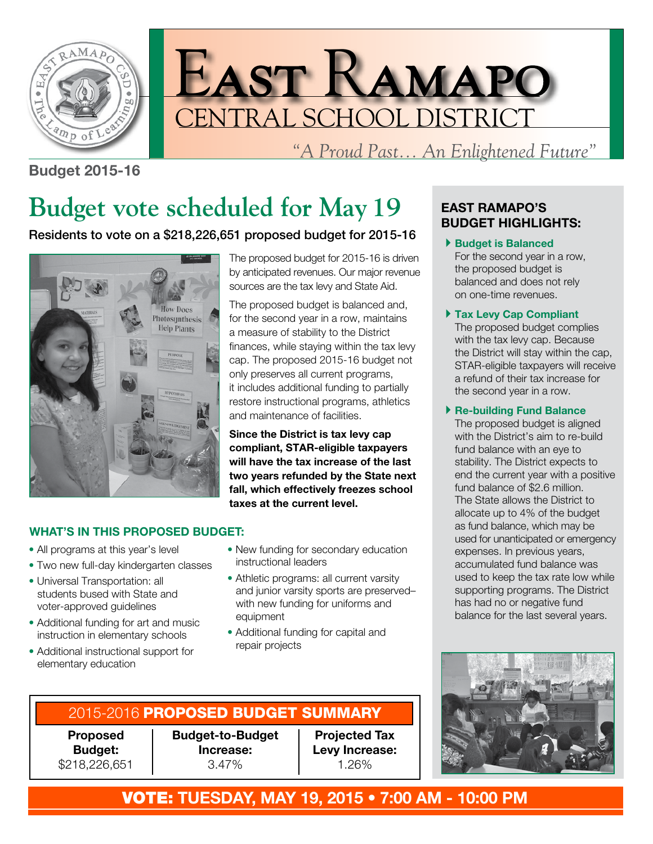



*"A Proud Past... An Enlightened Future"*

#### **Budget 2015-16**

# **Budget vote scheduled for May 19**

### Residents to vote on a \$218,226,651 proposed budget for 2015-16



The proposed budget for 2015-16 is driven by anticipated revenues. Our major revenue sources are the tax levy and State Aid.

The proposed budget is balanced and, for the second year in a row, maintains a measure of stability to the District finances, while staying within the tax levy cap. The proposed 2015-16 budget not only preserves all current programs, it includes additional funding to partially restore instructional programs, athletics and maintenance of facilities.

**Since the District is tax levy cap compliant, STAR-eligible taxpayers will have the tax increase of the last two years refunded by the State next fall, which effectively freezes school taxes at the current level.**

#### **WHAT'S IN THIS PROPOSED BUDGET:**

- All programs at this year's level
- Two new full-day kindergarten classes
- Universal Transportation: all students bused with State and voter-approved guidelines
- Additional funding for art and music instruction in elementary schools
- Additional instructional support for elementary education
- New funding for secondary education instructional leaders
- Athletic programs: all current varsity and junior varsity sports are preserved– with new funding for uniforms and equipment
- Additional funding for capital and repair projects

## 2015-2016 PROPOSED BUDGET SUMMARY

**Proposed Budget:** \$218,226,651 **Budget-to-Budget Increase:** 3.47%

**Projected Tax Levy Increase:** 1.26%

#### **EAST RAMAPO'S BUDGET HIGHLIGHTS:**

- 4**Budget is Balanced** For the second year in a row, the proposed budget is balanced and does not rely on one-time revenues.
- 4**Tax Levy Cap Compliant** The proposed budget complies with the tax levy cap. Because the District will stay within the cap, STAR-eligible taxpayers will receive a refund of their tax increase for the second year in a row.

#### 4**Re-building Fund Balance**

The proposed budget is aligned with the District's aim to re-build fund balance with an eye to stability. The District expects to end the current year with a positive fund balance of \$2.6 million. The State allows the District to allocate up to 4% of the budget as fund balance, which may be used for unanticipated or emergency expenses. In previous years, accumulated fund balance was used to keep the tax rate low while supporting programs. The District has had no or negative fund balance for the last several years.



VOTE: **TUESDAY, MAY 19, 2015 • 7:00 AM - 10:00 PM**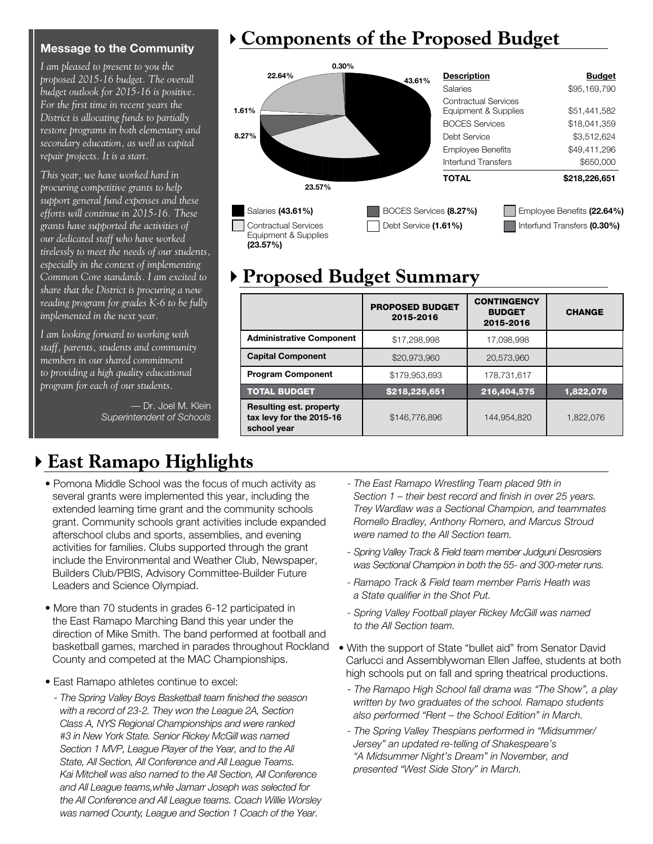#### **Message to the Community**

*I am pleased to present to you the proposed 2015-16 budget. The overall budget outlook for 2015-16 is positive. For the first time in recent years the District is allocating funds to partially restore programs in both elementary and secondary education, as well as capital repair projects. It is a start.* 

*This year, we have worked hard in procuring competitive grants to help support general fund expenses and these efforts will continue in 2015-16. These grants have supported the activities of our dedicated staff who have worked tirelessly to meet the needs of our students, especially in the context of implementing Common Core standards. I am excited to share that the District is procuring a new reading program for grades K-6 to be fully implemented in the next year.*

*I am looking forward to working with staff, parents, students and community members in our shared commitment to providing a high quality educational program for each of our students.*

> — Dr. Joel M. Klein *Superintendent of Schools*

## 4**Components of the Proposed Budget**



## 4**Proposed Budget Summary**

|                                                                           | <b>PROPOSED BUDGET</b><br>2015-2016 | <b>CONTINGENCY</b><br><b>BUDGET</b><br>2015-2016 | <b>CHANGE</b> |  |  |  |
|---------------------------------------------------------------------------|-------------------------------------|--------------------------------------------------|---------------|--|--|--|
| <b>Administrative Component</b>                                           | \$17,298,998                        | 17.098.998                                       |               |  |  |  |
| <b>Capital Component</b>                                                  | \$20,973,960                        | 20.573.960                                       |               |  |  |  |
| <b>Program Component</b>                                                  | \$179,953,693                       | 178.731.617                                      |               |  |  |  |
| <b>TOTAL BUDGET</b>                                                       | \$218,226,651                       | 216,404,575                                      | 1,822,076     |  |  |  |
| <b>Resulting est. property</b><br>tax levy for the 2015-16<br>school year | \$146,776,896                       | 144,954,820                                      | 1,822,076     |  |  |  |

## 4**East Ramapo Highlights**

- Pomona Middle School was the focus of much activity as several grants were implemented this year, including the extended learning time grant and the community schools grant. Community schools grant activities include expanded afterschool clubs and sports, assemblies, and evening activities for families. Clubs supported through the grant include the Environmental and Weather Club, Newspaper, Builders Club/PBIS, Advisory Committee-Builder Future Leaders and Science Olympiad.
- More than 70 students in grades 6-12 participated in the East Ramapo Marching Band this year under the direction of Mike Smith. The band performed at football and basketball games, marched in parades throughout Rockland County and competed at the MAC Championships.
- East Ramapo athletes continue to excel:
	- - *The Spring Valley Boys Basketball team finished the season with a record of 23-2. They won the League 2A, Section Class A, NYS Regional Championships and were ranked #3 in New York State. Senior Rickey McGill was named Section 1 MVP, League Player of the Year, and to the All State, All Section, All Conference and All League Teams. Kai Mitchell was also named to the All Section, All Conference and All League teams,while Jamarr Joseph was selected for the All Conference and All League teams. Coach Willie Worsley was named County, League and Section 1 Coach of the Year.*
- *The East Ramapo Wrestling Team placed 9th in Section 1 – their best record and finish in over 25 years. Trey Wardlaw was a Sectional Champion, and teammates Romello Bradley, Anthony Romero, and Marcus Stroud were named to the All Section team.*
- *Spring Valley Track & Field team member Judguni Desrosiers was Sectional Champion in both the 55- and 300-meter runs.*
- *Ramapo Track & Field team member Parris Heath was a State qualifier in the Shot Put.*
- *Spring Valley Football player Rickey McGill was named to the All Section team.*
- With the support of State "bullet aid" from Senator David Carlucci and Assemblywoman Ellen Jaffee, students at both high schools put on fall and spring theatrical productions.
	- *The Ramapo High School fall drama was "The Show", a play written by two graduates of the school. Ramapo students also performed "Rent – the School Edition" in March.*
	- *The Spring Valley Thespians performed in "Midsummer/ Jersey" an updated re-telling of Shakespeare's "A Midsummer Night's Dream" in November, and presented "West Side Story" in March.*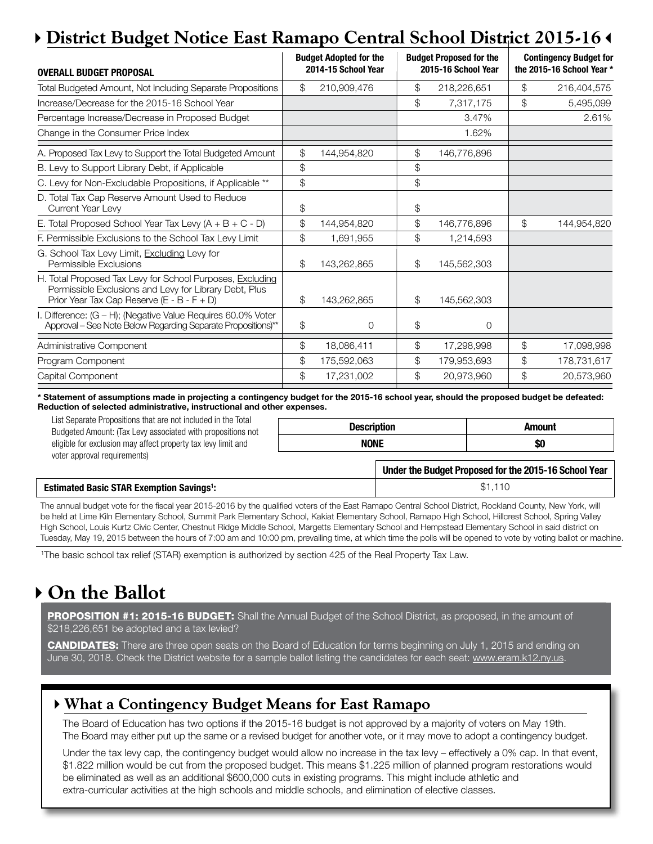## 4**District Budget Notice East Ramapo Central School District 2015-16**3

| <b>OVERALL BUDGET PROPOSAL</b>                                                                                                                                    |    | <b>Budget Adopted for the</b><br>2014-15 School Year |               | <b>Budget Proposed for the</b><br>2015-16 School Year |    | <b>Contingency Budget for</b><br>the 2015-16 School Year * |  |
|-------------------------------------------------------------------------------------------------------------------------------------------------------------------|----|------------------------------------------------------|---------------|-------------------------------------------------------|----|------------------------------------------------------------|--|
| Total Budgeted Amount, Not Including Separate Propositions                                                                                                        | \$ | 210,909,476                                          | \$            | 218,226,651                                           | \$ | 216,404,575                                                |  |
| Increase/Decrease for the 2015-16 School Year                                                                                                                     |    |                                                      | $\mathcal{L}$ | 7,317,175                                             | \$ | 5,495,099                                                  |  |
| Percentage Increase/Decrease in Proposed Budget                                                                                                                   |    |                                                      |               | 3.47%                                                 |    | 2.61%                                                      |  |
| Change in the Consumer Price Index                                                                                                                                |    |                                                      |               | 1.62%                                                 |    |                                                            |  |
| A. Proposed Tax Levy to Support the Total Budgeted Amount                                                                                                         | \$ | 144,954,820                                          | \$            | 146,776,896                                           |    |                                                            |  |
| B. Levy to Support Library Debt, if Applicable                                                                                                                    | \$ |                                                      | \$            |                                                       |    |                                                            |  |
| C. Levy for Non-Excludable Propositions, if Applicable **                                                                                                         | \$ |                                                      | \$            |                                                       |    |                                                            |  |
| D. Total Tax Cap Reserve Amount Used to Reduce<br>Current Year Levy                                                                                               | \$ |                                                      | \$            |                                                       |    |                                                            |  |
| E. Total Proposed School Year Tax Levy $(A + B + C - D)$                                                                                                          | \$ | 144,954,820                                          | \$            | 146,776,896                                           | \$ | 144,954,820                                                |  |
| F. Permissible Exclusions to the School Tax Levy Limit                                                                                                            | \$ | 1,691,955                                            | \$            | 1,214,593                                             |    |                                                            |  |
| G. School Tax Levy Limit, Excluding Levy for<br>Permissible Exclusions                                                                                            | \$ | 143,262,865                                          | \$            | 145,562,303                                           |    |                                                            |  |
| H. Total Proposed Tax Levy for School Purposes, Excluding<br>Permissible Exclusions and Levy for Library Debt, Plus<br>Prior Year Tax Cap Reserve (E - B - F + D) | \$ | 143,262,865                                          | \$            | 145,562,303                                           |    |                                                            |  |
| I. Difference: (G - H); (Negative Value Requires 60.0% Voter<br>Approval - See Note Below Regarding Separate Propositions)**                                      | \$ | 0                                                    | \$            | 0                                                     |    |                                                            |  |
| Administrative Component                                                                                                                                          | \$ | 18,086,411                                           | \$            | 17,298,998                                            | \$ | 17,098,998                                                 |  |
| Program Component                                                                                                                                                 | \$ | 175,592,063                                          | \$            | 179,953,693                                           | \$ | 178,731,617                                                |  |
| Capital Component                                                                                                                                                 | \$ | 17,231,002                                           | \$            | 20.973.960                                            | \$ | 20,573,960                                                 |  |
|                                                                                                                                                                   |    |                                                      |               |                                                       |    |                                                            |  |

**\* Statement of assumptions made in projecting a contingency budget for the 2015-16 school year, should the proposed budget be defeated: Reduction of selected administrative, instructional and other expenses.**

List Separate Propositions that are not included in the Total Budgeted Amount: (Tax Levy associated with propositions not eligible for exclusion may affect property tax levy limit and voter approval requirements)

| <b>Description</b> | Amount |  |  |
|--------------------|--------|--|--|
| NONE               | JШ     |  |  |

|                                                            | Under the Budget Proposed for the 2015-16 School Year |
|------------------------------------------------------------|-------------------------------------------------------|
| <b>Estimated Basic STAR Exemption Savings<sup>1</sup>:</b> | \$1.110                                               |

The annual budget vote for the fiscal year 2015-2016 by the qualified voters of the East Ramapo Central School District, Rockland County, New York, will be held at Lime Kiln Elementary School, Summit Park Elementary School, Kakiat Elementary School, Ramapo High School, Hillcrest School, Spring Valley High School, Louis Kurtz Civic Center, Chestnut Ridge Middle School, Margetts Elementary School and Hempstead Elementary School in said district on Tuesday, May 19, 2015 between the hours of 7:00 am and 10:00 pm, prevailing time, at which time the polls will be opened to vote by voting ballot or machine.

1 The basic school tax relief (STAR) exemption is authorized by section 425 of the Real Property Tax Law.

## 4**On the Ballot**

PROPOSITION #1: 2015-16 BUDGET: Shall the Annual Budget of the School District, as proposed, in the amount of \$218,226,651 be adopted and a tax levied?

CANDIDATES: There are three open seats on the Board of Education for terms beginning on July 1, 2015 and ending on June 30, 2018. Check the District website for a sample ballot listing the candidates for each seat: www.eram.k12.ny.us.

### 4**What a Contingency Budget Means for East Ramapo**

The Board of Education has two options if the 2015-16 budget is not approved by a majority of voters on May 19th. The Board may either put up the same or a revised budget for another vote, or it may move to adopt a contingency budget.

Under the tax levy cap, the contingency budget would allow no increase in the tax levy – effectively a 0% cap. In that event, \$1.822 million would be cut from the proposed budget. This means \$1.225 million of planned program restorations would be eliminated as well as an additional \$600,000 cuts in existing programs. This might include athletic and extra-curricular activities at the high schools and middle schools, and elimination of elective classes.